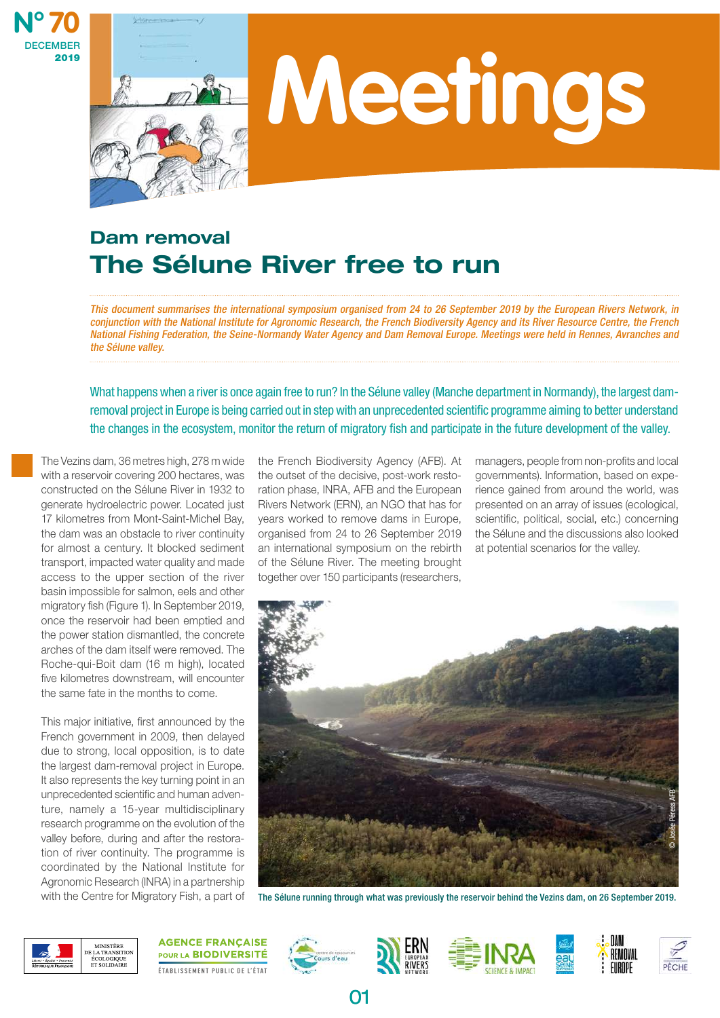



# **Meetings**

# Dam removal The Sélune River free to run

This document summarises the international symposium organised from 24 to 26 September 2019 by the European Rivers Network, in conjunction with the National Institute for Agronomic Research, the French Biodiversity Agency and its River Resource Centre, the French National Fishing Federation, the Seine-Normandy Water Agency and Dam Removal Europe. Meetings were held in Rennes, Avranches and the Sélune valley.

What happens when a river is once again free to run? In the Sélune valley (Manche department in Normandy), the largest damremoval project in Europe is being carried out in step with an unprecedented scientific programme aiming to better understand the changes in the ecosystem, monitor the return of migratory fish and participate in the future development of the valley.

The Vezins dam, 36 metres high, 278 m wide with a reservoir covering 200 hectares, was constructed on the Sélune River in 1932 to generate hydroelectric power. Located just 17 kilometres from Mont-Saint-Michel Bay, the dam was an obstacle to river continuity for almost a century. It blocked sediment transport, impacted water quality and made access to the upper section of the river basin impossible for salmon, eels and other migratory fish (Figure 1). In September 2019, once the reservoir had been emptied and the power station dismantled, the concrete arches of the dam itself were removed. The Roche-qui-Boit dam (16 m high), located five kilometres downstream, will encounter the same fate in the months to come.

This major initiative, first announced by the French government in 2009, then delayed due to strong, local opposition, is to date the largest dam-removal project in Europe. It also represents the key turning point in an unprecedented scientific and human adventure, namely a 15-year multidisciplinary research programme on the evolution of the valley before, during and after the restoration of river continuity. The programme is coordinated by the National Institute for Agronomic Research (INRA) in a partnership with the Centre for Migratory Fish, a part of

the French Biodiversity Agency (AFB). At the outset of the decisive, post-work restoration phase, INRA, AFB and the European Rivers Network (ERN), an NGO that has for years worked to remove dams in Europe, organised from 24 to 26 September 2019 an international symposium on the rebirth of the Sélune River. The meeting brought together over 150 participants (researchers,

managers, people from non-profits and local governments). Information, based on experience gained from around the world, was presented on an array of issues (ecological, scientific, political, social, etc.) concerning the Sélune and the discussions also looked at potential scenarios for the valley.



The Sélune running through what was previously the reservoir behind the Vezins dam, on 26 September 2019.



**AGENCE FRANÇAISE** POUR LA BIODIVERSITÉ ÉTABLISSEMENT PUBLIC DE L'ÉTAT





01







REMOVAL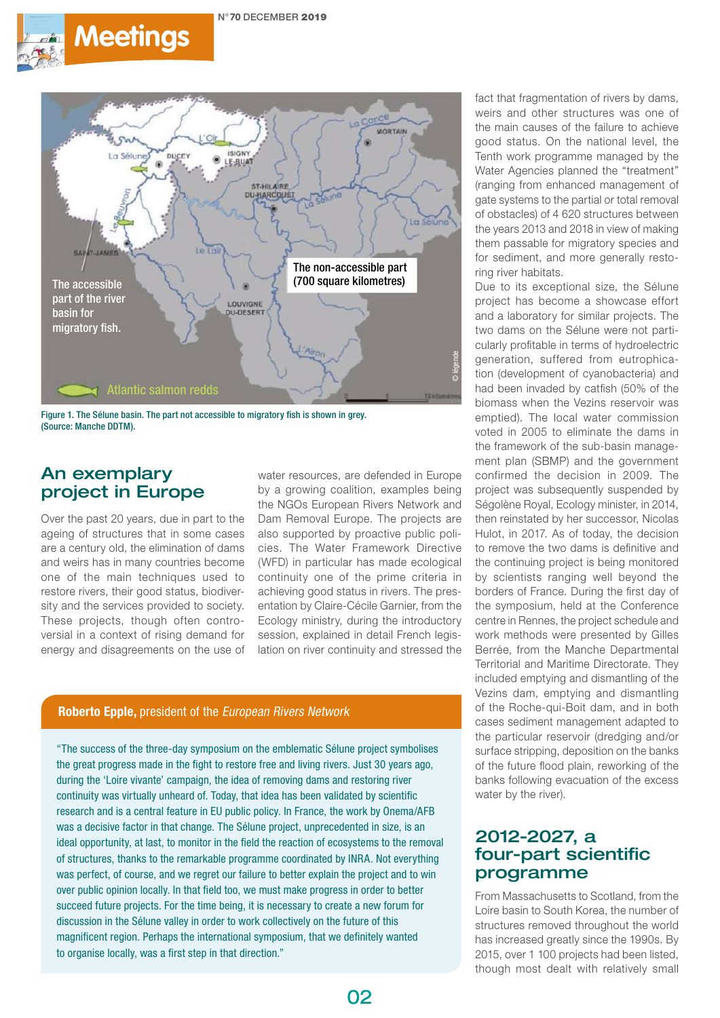



Figure 1. The Sélune basin. The part not accessible to migratory fish is shown in grey. (Source: Manche DDTM).

# An exemplary project in Europe

Over the past 20 years, due in part to the ageing of structures that in some cases are a century old, the elimination of dams and weirs has in many countries become one of the main techniques used to restore rivers, their good status, biodiversity and the services provided to society. These projects, though often controversial in a context of rising demand for energy and disagreements on the use of

water resources, are defended in Europe by a growing coalition, examples being the NGOs European Rivers Network and Dam Removal Europe. The projects are also supported by proactive public policies. The Water Framework Directive (WFD) in particular has made ecological continuity one of the prime criteria in achieving good status in rivers. The presentation by Claire-Cécile Garnier, from the Ecology ministry, during the introductory session, explained in detail French legislation on river continuity and stressed the

#### Roberto Epple, president of the European Rivers Network

"The success of the three-day symposium on the emblematic Sélune project symbolises the great progress made in the fight to restore free and living rivers. Just 30 years ago, during the 'Loire vivante' campaign, the idea of removing dams and restoring river continuity was virtually unheard of. Today, that idea has been validated by scientific research and is a central feature in EU public policy. In France, the work by Onema/AFB was a decisive factor in that change. The Sélune project, unprecedented in size, is an ideal opportunity, at last, to monitor in the field the reaction of ecosystems to the removal of structures, thanks to the remarkable programme coordinated by INRA. Not everything was perfect, of course, and we regret our failure to better explain the project and to win over public opinion locally. In that field too, we must make progress in order to better succeed future projects. For the time being, it is necessary to create a new forum for discussion in the Sélune valley in order to work collectively on the future of this magnificent region. Perhaps the international symposium, that we definitely wanted to organise locally, was a first step in that direction."

fact that fragmentation of rivers by dams, weirs and other structures was one of the main causes of the failure to achieve good status. On the national level, the Tenth work programme managed by the Water Agencies planned the "treatment" (ranging from enhanced management of gate systems to the partial or total removal of obstacles) of 4 620 structures between the years 2013 and 2018 in view of making them passable for migratory species and for sediment, and more generally restoring river habitats.

Due to its exceptional size, the Sélune project has become a showcase effort and a laboratory for similar projects. The two dams on the Sélune were not particularly profitable in terms of hydroelectric generation, suffered from eutrophication (development of cyanobacteria) and had been invaded by catfish (50% of the biomass when the Vezins reservoir was emptied). The local water commission voted in 2005 to eliminate the dams in the framework of the sub-basin management plan (SBMP) and the government confirmed the decision in 2009. The project was subsequently suspended by Ségolène Royal, Ecology minister, in 2014, then reinstated by her successor, Nicolas Hulot, in 2017. As of today, the decision to remove the two dams is definitive and the continuing project is being monitored by scientists ranging well beyond the borders of France. During the first day of the symposium, held at the Conference centre in Rennes, the project schedule and work methods were presented by Gilles Berrée, from the Manche Departmental Territorial and Maritime Directorate. They included emptying and dismantling of the Vezins dam, emptying and dismantling of the Roche-qui-Boit dam, and in both cases sediment management adapted to the particular reservoir (dredging and/or surface stripping, deposition on the banks of the future flood plain, reworking of the banks following evacuation of the excess water by the river).

# 2012-2027, a four-part scientific programme

From Massachusetts to Scotland, from the Loire basin to South Korea, the number of structures removed throughout the world has increased greatly since the 1990s. By 2015, over 1 100 projects had been listed, though most dealt with relatively small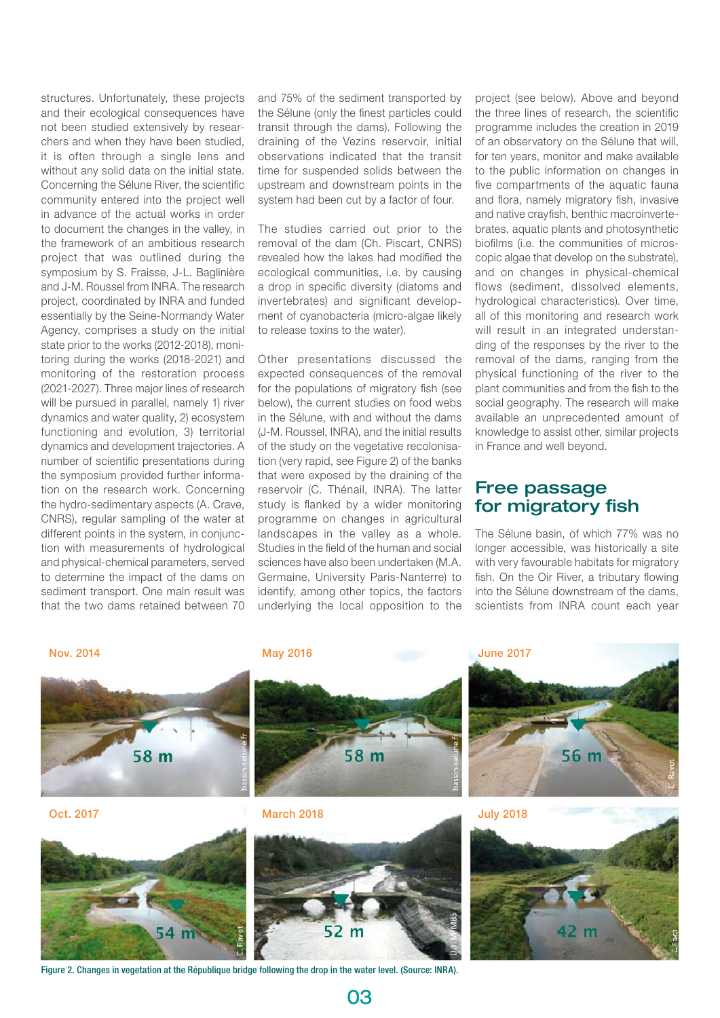structures. Unfortunately, these projects and their ecological consequences have not been studied extensively by researchers and when they have been studied, it is often through a single lens and without any solid data on the initial state. Concerning the Sélune River, the scientific community entered into the project well in advance of the actual works in order to document the changes in the valley, in the framework of an ambitious research project that was outlined during the symposium by S. Fraisse, J-L. Baglinière and J-M. Roussel from INRA. The research project, coordinated by INRA and funded essentially by the Seine-Normandy Water Agency, comprises a study on the initial state prior to the works (2012-2018), monitoring during the works (2018-2021) and monitoring of the restoration process (2021-2027). Three major lines of research will be pursued in parallel, namely 1) river dynamics and water quality, 2) ecosystem functioning and evolution, 3) territorial dynamics and development trajectories. A number of scientific presentations during the symposium provided further information on the research work. Concerning the hydro-sedimentary aspects (A. Crave, CNRS), regular sampling of the water at different points in the system, in conjunction with measurements of hydrological and physical-chemical parameters, served to determine the impact of the dams on sediment transport. One main result was that the two dams retained between 70

and 75% of the sediment transported by the Sélune (only the finest particles could transit through the dams). Following the draining of the Vezins reservoir, initial observations indicated that the transit time for suspended solids between the upstream and downstream points in the system had been cut by a factor of four.

The studies carried out prior to the removal of the dam (Ch. Piscart, CNRS) revealed how the lakes had modified the ecological communities, i.e. by causing a drop in specific diversity (diatoms and invertebrates) and significant development of cyanobacteria (micro-algae likely to release toxins to the water).

Other presentations discussed the expected consequences of the removal for the populations of migratory fish (see below), the current studies on food webs in the Sélune, with and without the dams (J-M. Roussel, INRA), and the initial results of the study on the vegetative recolonisation (very rapid, see Figure 2) of the banks that were exposed by the draining of the reservoir (C. Thénail, INRA). The latter study is flanked by a wider monitoring programme on changes in agricultural landscapes in the valley as a whole. Studies in the field of the human and social sciences have also been undertaken (M.A. Germaine, University Paris-Nanterre) to identify, among other topics, the factors underlying the local opposition to the

project (see below). Above and beyond the three lines of research, the scientific programme includes the creation in 2019 of an observatory on the Sélune that will, for ten years, monitor and make available to the public information on changes in five compartments of the aquatic fauna and flora, namely migratory fish, invasive and native crayfish, benthic macroinvertebrates, aquatic plants and photosynthetic biofilms (i.e. the communities of microscopic algae that develop on the substrate), and on changes in physical-chemical flows (sediment, dissolved elements, hydrological characteristics). Over time, all of this monitoring and research work will result in an integrated understanding of the responses by the river to the removal of the dams, ranging from the physical functioning of the river to the plant communities and from the fish to the social geography. The research will make available an unprecedented amount of knowledge to assist other, similar projects in France and well beyond.

## Free passage for migratory fish

The Sélune basin, of which 77% was no longer accessible, was historically a site with very favourable habitats for migratory fish. On the Oir River, a tributary flowing into the Sélune downstream of the dams, scientists from INRA count each year



Figure 2. Changes in vegetation at the République bridge following the drop in the water level. (Source: INRA).

03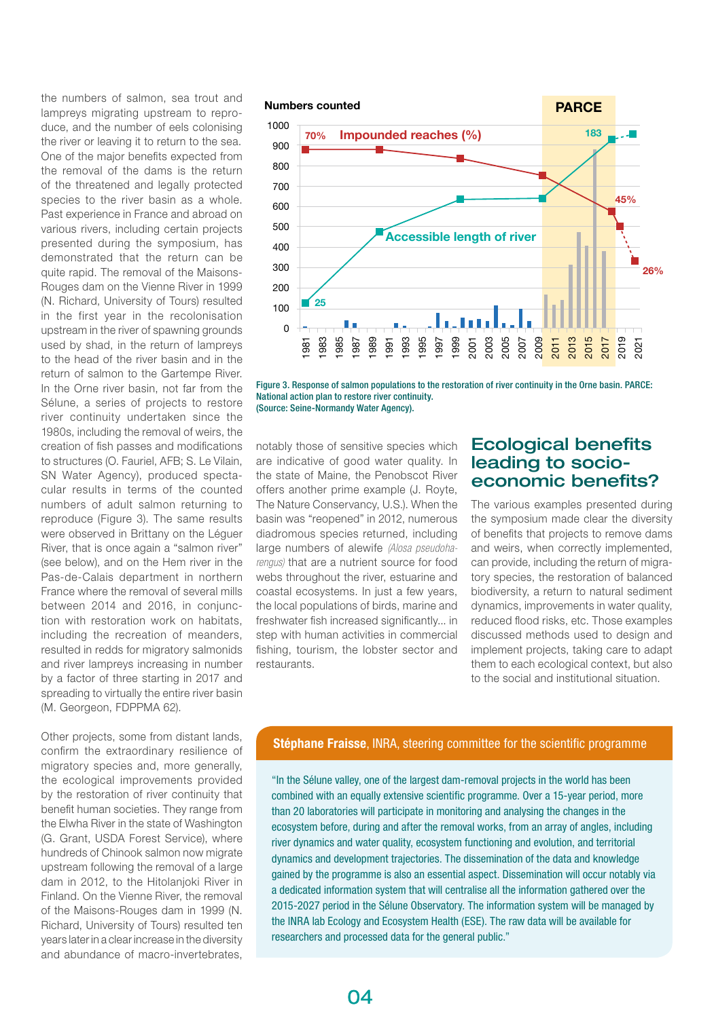the numbers of salmon, sea trout and lampreys migrating upstream to reproduce, and the number of eels colonising the river or leaving it to return to the sea. One of the major benefits expected from the removal of the dams is the return of the threatened and legally protected species to the river basin as a whole. Past experience in France and abroad on various rivers, including certain projects presented during the symposium, has demonstrated that the return can be quite rapid. The removal of the Maisons-Rouges dam on the Vienne River in 1999 (N. Richard, University of Tours) resulted in the first year in the recolonisation upstream in the river of spawning grounds used by shad, in the return of lampreys to the head of the river basin and in the return of salmon to the Gartempe River. In the Orne river basin, not far from the Sélune, a series of projects to restore river continuity undertaken since the 1980s, including the removal of weirs, the creation of fish passes and modifications to structures (O. Fauriel, AFB; S. Le Vilain, SN Water Agency), produced spectacular results in terms of the counted numbers of adult salmon returning to reproduce (Figure 3). The same results were observed in Brittany on the Léguer River, that is once again a "salmon river" (see below), and on the Hem river in the Pas-de-Calais department in northern France where the removal of several mills between 2014 and 2016, in conjunction with restoration work on habitats, including the recreation of meanders, resulted in redds for migratory salmonids and river lampreys increasing in number by a factor of three starting in 2017 and spreading to virtually the entire river basin (M. Georgeon, FDPPMA 62).

Other projects, some from distant lands, confirm the extraordinary resilience of migratory species and, more generally, the ecological improvements provided by the restoration of river continuity that benefit human societies. They range from the Elwha River in the state of Washington (G. Grant, USDA Forest Service), where hundreds of Chinook salmon now migrate upstream following the removal of a large dam in 2012, to the Hitolanjoki River in Finland. On the Vienne River, the removal of the Maisons-Rouges dam in 1999 (N. Richard, University of Tours) resulted ten years later in a clear increase in the diversity and abundance of macro-invertebrates,



Figure 3. Response of salmon populations to the restoration of river continuity in the Orne basin. PARCE: National action plan to restore river continuity. (Source: Seine-Normandy Water Agency).

notably those of sensitive species which are indicative of good water quality. In the state of Maine, the Penobscot River offers another prime example (J. Royte, The Nature Conservancy, U.S.). When the basin was "reopened" in 2012, numerous diadromous species returned, including large numbers of alewife *(Alosa pseudoharengus)* that are a nutrient source for food webs throughout the river, estuarine and coastal ecosystems. In just a few years, the local populations of birds, marine and freshwater fish increased significantly... in step with human activities in commercial fishing, tourism, the lobster sector and restaurants.

## Ecological benefits leading to socioeconomic benefits?

The various examples presented during the symposium made clear the diversity of benefits that projects to remove dams and weirs, when correctly implemented, can provide, including the return of migratory species, the restoration of balanced biodiversity, a return to natural sediment dynamics, improvements in water quality, reduced flood risks, etc. Those examples discussed methods used to design and implement projects, taking care to adapt them to each ecological context, but also to the social and institutional situation.

#### Stéphane Fraisse, INRA, steering committee for the scientific programme

"In the Sélune valley, one of the largest dam-removal projects in the world has been combined with an equally extensive scientific programme. Over a 15-year period, more than 20 laboratories will participate in monitoring and analysing the changes in the ecosystem before, during and after the removal works, from an array of angles, including river dynamics and water quality, ecosystem functioning and evolution, and territorial dynamics and development trajectories. The dissemination of the data and knowledge gained by the programme is also an essential aspect. Dissemination will occur notably via a dedicated information system that will centralise all the information gathered over the 2015-2027 period in the Sélune Observatory. The information system will be managed by the INRA lab Ecology and Ecosystem Health (ESE). The raw data will be available for researchers and processed data for the general public."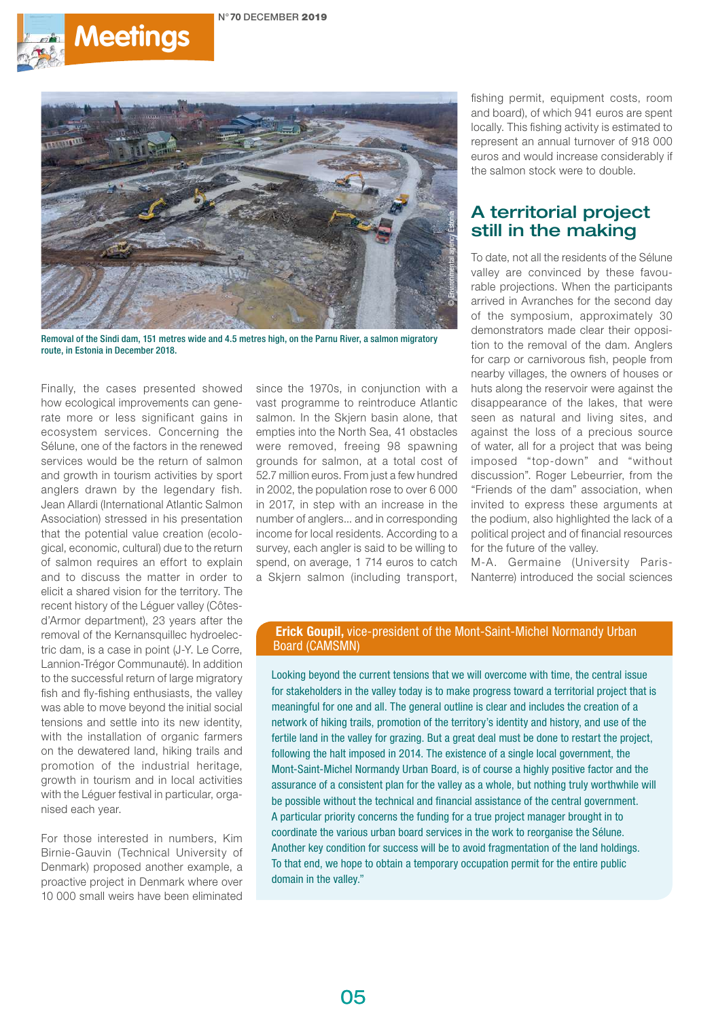



Removal of the Sindi dam, 151 metres wide and 4.5 metres high, on the Parnu River, a salmon migratory route, in Estonia in December 2018.

Finally, the cases presented showed how ecological improvements can generate more or less significant gains in ecosystem services. Concerning the Sélune, one of the factors in the renewed services would be the return of salmon and growth in tourism activities by sport anglers drawn by the legendary fish. Jean Allardi (International Atlantic Salmon Association) stressed in his presentation that the potential value creation (ecological, economic, cultural) due to the return of salmon requires an effort to explain and to discuss the matter in order to elicit a shared vision for the territory. The recent history of the Léguer valley (Côtesd'Armor department), 23 years after the removal of the Kernansquillec hydroelectric dam, is a case in point (J-Y. Le Corre, Lannion-Trégor Communauté). In addition to the successful return of large migratory fish and fly-fishing enthusiasts, the valley was able to move beyond the initial social tensions and settle into its new identity, with the installation of organic farmers on the dewatered land, hiking trails and promotion of the industrial heritage, growth in tourism and in local activities with the Léguer festival in particular, organised each year.

For those interested in numbers, Kim Birnie-Gauvin (Technical University of Denmark) proposed another example, a proactive project in Denmark where over 10 000 small weirs have been eliminated

since the 1970s, in conjunction with a vast programme to reintroduce Atlantic salmon. In the Skjern basin alone, that empties into the North Sea, 41 obstacles were removed, freeing 98 spawning grounds for salmon, at a total cost of 52.7 million euros. From just a few hundred in 2002, the population rose to over 6 000 in 2017, in step with an increase in the number of anglers... and in corresponding income for local residents. According to a survey, each angler is said to be willing to spend, on average, 1 714 euros to catch a Skiern salmon (including transport,

fishing permit, equipment costs, room and board), of which 941 euros are spent locally. This fishing activity is estimated to represent an annual turnover of 918 000 euros and would increase considerably if the salmon stock were to double.

# A territorial project still in the making

To date, not all the residents of the Sélune valley are convinced by these favourable projections. When the participants arrived in Avranches for the second day of the symposium, approximately 30 demonstrators made clear their opposition to the removal of the dam. Anglers for carp or carnivorous fish, people from nearby villages, the owners of houses or huts along the reservoir were against the disappearance of the lakes, that were seen as natural and living sites, and against the loss of a precious source of water, all for a project that was being imposed "top-down" and "without discussion". Roger Lebeurrier, from the "Friends of the dam" association, when invited to express these arguments at the podium, also highlighted the lack of a political project and of financial resources for the future of the valley.

M-A. Germaine (University Paris-Nanterre) introduced the social sciences

#### Erick Goupil, vice-president of the Mont-Saint-Michel Normandy Urban Board (CAMSMN)

Looking beyond the current tensions that we will overcome with time, the central issue for stakeholders in the valley today is to make progress toward a territorial project that is meaningful for one and all. The general outline is clear and includes the creation of a network of hiking trails, promotion of the territory's identity and history, and use of the fertile land in the valley for grazing. But a great deal must be done to restart the project, following the halt imposed in 2014. The existence of a single local government, the Mont-Saint-Michel Normandy Urban Board, is of course a highly positive factor and the assurance of a consistent plan for the valley as a whole, but nothing truly worthwhile will be possible without the technical and financial assistance of the central government. A particular priority concerns the funding for a true project manager brought in to coordinate the various urban board services in the work to reorganise the Sélune. Another key condition for success will be to avoid fragmentation of the land holdings. To that end, we hope to obtain a temporary occupation permit for the entire public domain in the valley."